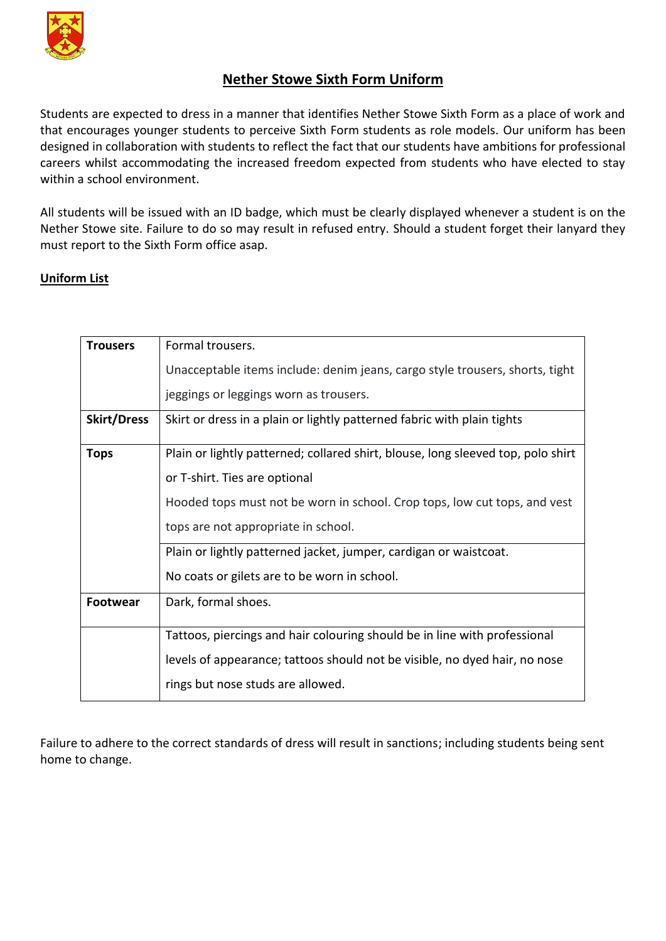

## **Nether Stowe Sixth Form Uniform**

Students are expected to dress in a manner that identifies Nether Stowe Sixth Form as a place of work and that encourages younger students to perceive Sixth Form students as role models. Our uniform has been designed in collaboration with students to reflect the fact that our students have ambitions for professional careers whilst accommodating the increased freedom expected from students who have elected to stay within a school environment.

All students will be issued with an ID badge, which must be clearly displayed whenever a student is on the Nether Stowe site. Failure to do so may result in refused entry. Should a student forget their lanyard they must report to the Sixth Form office asap.

## **Uniform List**

| <b>Trousers</b>    | Formal trousers.                                                                 |
|--------------------|----------------------------------------------------------------------------------|
|                    | Unacceptable items include: denim jeans, cargo style trousers, shorts, tight     |
|                    | jeggings or leggings worn as trousers.                                           |
| <b>Skirt/Dress</b> | Skirt or dress in a plain or lightly patterned fabric with plain tights          |
| <b>Tops</b>        | Plain or lightly patterned; collared shirt, blouse, long sleeved top, polo shirt |
|                    | or T-shirt. Ties are optional                                                    |
|                    | Hooded tops must not be worn in school. Crop tops, low cut tops, and vest        |
|                    | tops are not appropriate in school.                                              |
|                    | Plain or lightly patterned jacket, jumper, cardigan or waistcoat.                |
|                    | No coats or gilets are to be worn in school.                                     |
| <b>Footwear</b>    | Dark, formal shoes.                                                              |
|                    | Tattoos, piercings and hair colouring should be in line with professional        |
|                    | levels of appearance; tattoos should not be visible, no dyed hair, no nose       |
|                    | rings but nose studs are allowed.                                                |
|                    |                                                                                  |

Failure to adhere to the correct standards of dress will result in sanctions; including students being sent home to change.